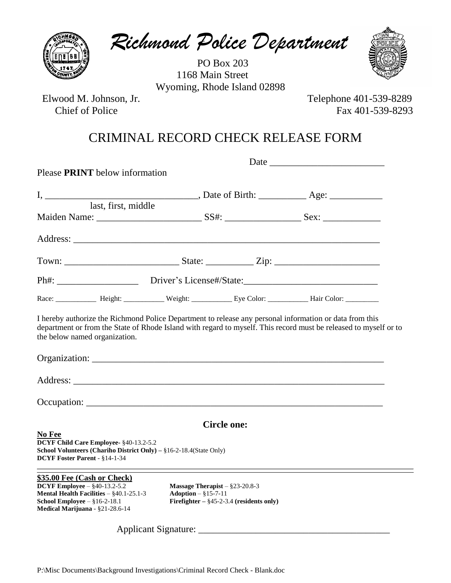*Richmond Police Department*

 PO Box 203 1168 Main Street Wyoming, Rhode Island 02898



Elwood M. Johnson, Jr. Telephone 401-539-8289

Chief of Police Fax 401-539-8293

## CRIMINAL RECORD CHECK RELEASE FORM

| Please PRINT below information                                                                                                                             |                               |                                                                                |  |  |
|------------------------------------------------------------------------------------------------------------------------------------------------------------|-------------------------------|--------------------------------------------------------------------------------|--|--|
|                                                                                                                                                            |                               |                                                                                |  |  |
| last, first, middle                                                                                                                                        |                               |                                                                                |  |  |
|                                                                                                                                                            |                               |                                                                                |  |  |
|                                                                                                                                                            |                               |                                                                                |  |  |
|                                                                                                                                                            |                               |                                                                                |  |  |
| Ph#: _________________________Driver's License#/State: __________________________                                                                          |                               |                                                                                |  |  |
| Race: _____________ Height: ____________ Weight: _____________ Eye Color: ____________ Hair Color: __________                                              |                               |                                                                                |  |  |
| department or from the State of Rhode Island with regard to myself. This record must be released to myself or to<br>the below named organization.          |                               |                                                                                |  |  |
|                                                                                                                                                            |                               |                                                                                |  |  |
| No Fee<br>DCYF Child Care Employee- §40-13.2-5.2<br>School Volunteers (Chariho District Only) - $§16-2-18.4$ (State Only)<br>DCYF Foster Parent - §14-1-34 |                               | <b>Circle one:</b>                                                             |  |  |
| \$35.00 Fee (Cash or Check)                                                                                                                                |                               |                                                                                |  |  |
| DCYF Employee $ §$ 40-13.2-5.2<br><b>Mental Health Facilities</b> $ \S40.1-25.1-3$<br>School Employee $-$ §16-2-18.1<br>Medical Marijuana - §21-28.6-14    | Adoption $-$ §15-7-11         | Massage Therapist $-$ §23-20.8-3<br>Firefighter $-$ §45-2-3.4 (residents only) |  |  |
|                                                                                                                                                            | Applicant Signature: ________ |                                                                                |  |  |